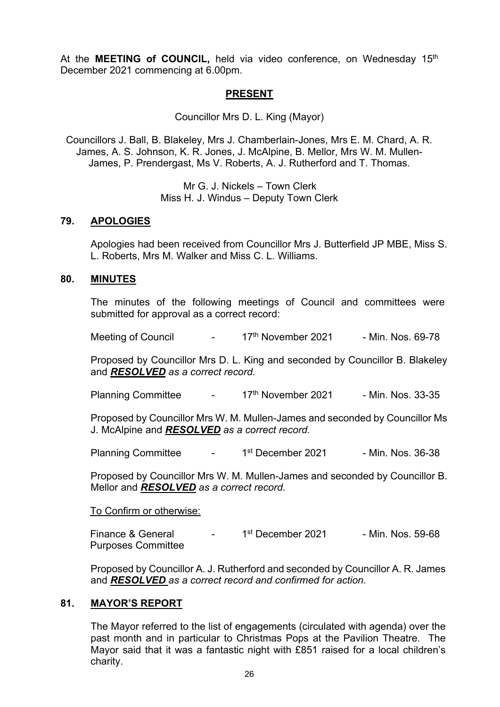At the **MEETING of COUNCIL**, held via video conference, on Wednesday 15<sup>th</sup> December 2021 commencing at 6.00pm.

# **PRESENT**

Councillor Mrs D. L. King (Mayor)

Councillors J. Ball, B. Blakeley, Mrs J. Chamberlain-Jones, Mrs E. M. Chard, A. R. James, A. S. Johnson, K. R. Jones, J. McAlpine, B. Mellor, Mrs W. M. Mullen-James, P. Prendergast, Ms V. Roberts, A. J. Rutherford and T. Thomas.

> Mr G. J. Nickels – Town Clerk Miss H. J. Windus – Deputy Town Clerk

#### **79. APOLOGIES**

Apologies had been received from Councillor Mrs J. Butterfield JP MBE, Miss S. L. Roberts, Mrs M. Walker and Miss C. L. Williams.

#### **80. MINUTES**

The minutes of the following meetings of Council and committees were submitted for approval as a correct record:

Meeting of Council - 17<sup>th</sup> November 2021 - Min. Nos. 69-78

Proposed by Councillor Mrs D. L. King and seconded by Councillor B. Blakeley and *RESOLVED as a correct record.*

Planning Committee - 17<sup>th</sup> November 2021 - Min. Nos. 33-35

Proposed by Councillor Mrs W. M. Mullen-James and seconded by Councillor Ms J. McAlpine and *RESOLVED as a correct record.*

Planning Committee - 1<sup>st</sup> December 2021 - Min. Nos. 36-38

Proposed by Councillor Mrs W. M. Mullen-James and seconded by Councillor B. Mellor and *RESOLVED as a correct record.*

#### To Confirm or otherwise:

Finance & General - 1<sup>st</sup> December 2021 - Min. Nos. 59-68 Purposes Committee

Proposed by Councillor A. J. Rutherford and seconded by Councillor A. R. James and *RESOLVED as a correct record and confirmed for action.*

## **81. MAYOR'S REPORT**

The Mayor referred to the list of engagements (circulated with agenda) over the past month and in particular to Christmas Pops at the Pavilion Theatre. The Mayor said that it was a fantastic night with £851 raised for a local children's charity.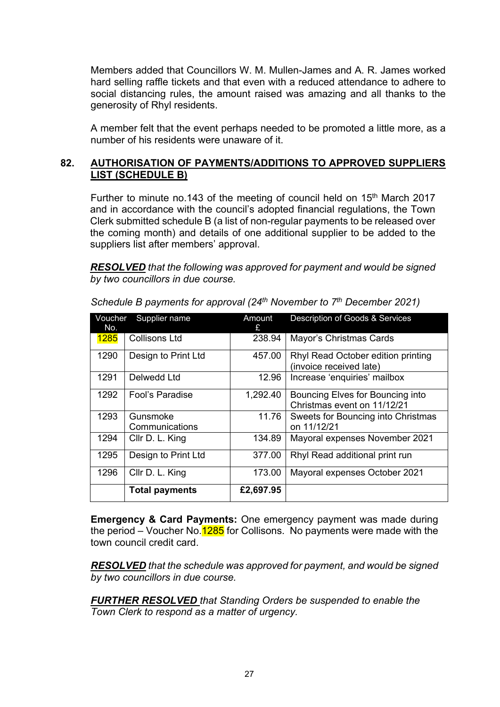Members added that Councillors W. M. Mullen-James and A. R. James worked hard selling raffle tickets and that even with a reduced attendance to adhere to social distancing rules, the amount raised was amazing and all thanks to the generosity of Rhyl residents.

A member felt that the event perhaps needed to be promoted a little more, as a number of his residents were unaware of it.

# **82. AUTHORISATION OF PAYMENTS/ADDITIONS TO APPROVED SUPPLIERS LIST (SCHEDULE B)**

Further to minute no.143 of the meeting of council held on 15<sup>th</sup> March 2017 and in accordance with the council's adopted financial regulations, the Town Clerk submitted schedule B (a list of non-regular payments to be released over the coming month) and details of one additional supplier to be added to the suppliers list after members' approval.

*RESOLVED that the following was approved for payment and would be signed by two councillors in due course.*

| Voucher<br>No. | Supplier name              | Amount<br>£. | Description of Goods & Services                                 |
|----------------|----------------------------|--------------|-----------------------------------------------------------------|
| <b>1285</b>    | Collisons Ltd              | 238.94       | Mayor's Christmas Cards                                         |
| 1290           | Design to Print Ltd        | 457.00       | Rhyl Read October edition printing<br>(invoice received late)   |
| 1291           | Delwedd Ltd                | 12.96        | Increase 'enquiries' mailbox                                    |
| 1292           | Fool's Paradise            | 1,292.40     | Bouncing Elves for Bouncing into<br>Christmas event on 11/12/21 |
| 1293           | Gunsmoke<br>Communications | 11.76        | Sweets for Bouncing into Christmas<br>on 11/12/21               |
| 1294           | Cllr D. L. King            | 134.89       | Mayoral expenses November 2021                                  |
| 1295           | Design to Print Ltd        | 377.00       | Rhyl Read additional print run                                  |
| 1296           | Cllr D. L. King            | 173.00       | Mayoral expenses October 2021                                   |
|                | <b>Total payments</b>      | £2,697.95    |                                                                 |

*Schedule B payments for approval (24th November to 7th December 2021)*

**Emergency & Card Payments:** One emergency payment was made during the period – Voucher No.  $1285$  for Collisons. No payments were made with the town council credit card.

*RESOLVED that the schedule was approved for payment, and would be signed by two councillors in due course.*

*FURTHER RESOLVED that Standing Orders be suspended to enable the Town Clerk to respond as a matter of urgency.*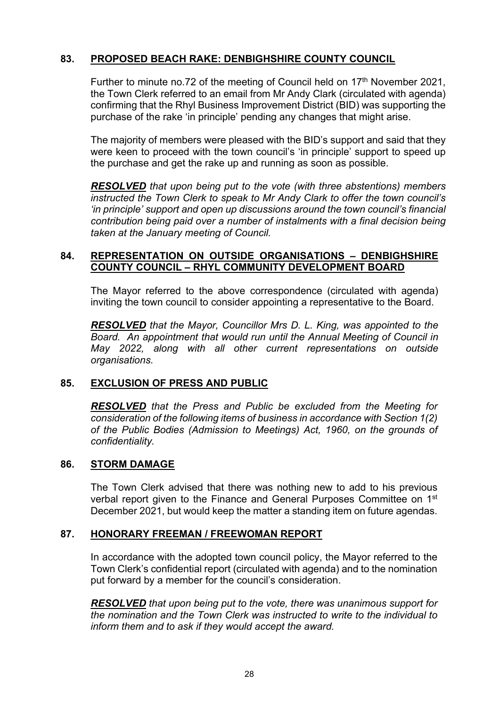# **83. PROPOSED BEACH RAKE: DENBIGHSHIRE COUNTY COUNCIL**

Further to minute no.72 of the meeting of Council held on 17<sup>th</sup> November 2021, the Town Clerk referred to an email from Mr Andy Clark (circulated with agenda) confirming that the Rhyl Business Improvement District (BID) was supporting the purchase of the rake 'in principle' pending any changes that might arise.

The majority of members were pleased with the BID's support and said that they were keen to proceed with the town council's 'in principle' support to speed up the purchase and get the rake up and running as soon as possible.

*RESOLVED that upon being put to the vote (with three abstentions) members instructed the Town Clerk to speak to Mr Andy Clark to offer the town council's 'in principle' support and open up discussions around the town council's financial contribution being paid over a number of instalments with a final decision being taken at the January meeting of Council.*

## **84. REPRESENTATION ON OUTSIDE ORGANISATIONS – DENBIGHSHIRE COUNTY COUNCIL – RHYL COMMUNITY DEVELOPMENT BOARD**

The Mayor referred to the above correspondence (circulated with agenda) inviting the town council to consider appointing a representative to the Board.

*RESOLVED that the Mayor, Councillor Mrs D. L. King, was appointed to the Board. An appointment that would run until the Annual Meeting of Council in May 2022, along with all other current representations on outside organisations.*

## **85. EXCLUSION OF PRESS AND PUBLIC**

*RESOLVED that the Press and Public be excluded from the Meeting for consideration of the following items of business in accordance with Section 1(2) of the Public Bodies (Admission to Meetings) Act, 1960, on the grounds of confidentiality.*

#### **86. STORM DAMAGE**

The Town Clerk advised that there was nothing new to add to his previous verbal report given to the Finance and General Purposes Committee on 1<sup>st</sup> December 2021, but would keep the matter a standing item on future agendas.

## **87. HONORARY FREEMAN / FREEWOMAN REPORT**

In accordance with the adopted town council policy, the Mayor referred to the Town Clerk's confidential report (circulated with agenda) and to the nomination put forward by a member for the council's consideration.

*RESOLVED that upon being put to the vote, there was unanimous support for the nomination and the Town Clerk was instructed to write to the individual to inform them and to ask if they would accept the award.*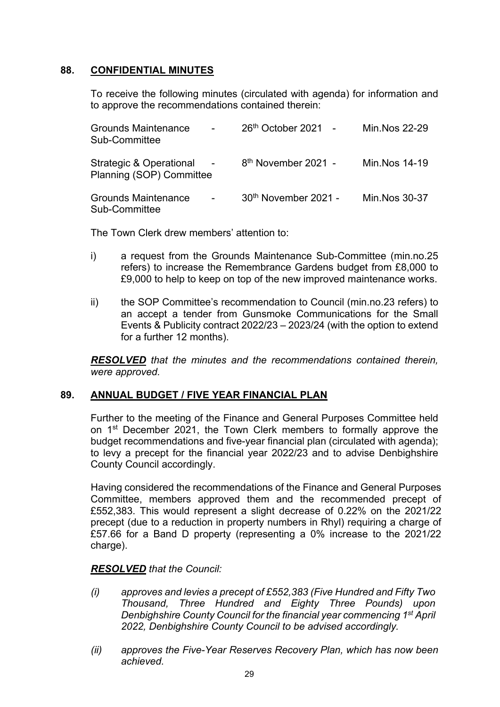## **88. CONFIDENTIAL MINUTES**

To receive the following minutes (circulated with agenda) for information and to approve the recommendations contained therein:

| <b>Grounds Maintenance</b><br>Sub-Committee           | $26th$ October 2021 -           | Min Nos 22-29  |
|-------------------------------------------------------|---------------------------------|----------------|
| Strategic & Operational -<br>Planning (SOP) Committee | 8 <sup>th</sup> November 2021 - | Min. Nos 14-19 |
| <b>Grounds Maintenance</b><br>$\sim$<br>Sub-Committee | $30th$ November 2021 -          | Min. Nos 30-37 |

The Town Clerk drew members' attention to:

- i) a request from the Grounds Maintenance Sub-Committee (min.no.25 refers) to increase the Remembrance Gardens budget from £8,000 to £9,000 to help to keep on top of the new improved maintenance works.
- ii) the SOP Committee's recommendation to Council (min.no.23 refers) to an accept a tender from Gunsmoke Communications for the Small Events & Publicity contract 2022/23 – 2023/24 (with the option to extend for a further 12 months).

*RESOLVED that the minutes and the recommendations contained therein, were approved.*

## **89. ANNUAL BUDGET / FIVE YEAR FINANCIAL PLAN**

Further to the meeting of the Finance and General Purposes Committee held on 1st December 2021, the Town Clerk members to formally approve the budget recommendations and five-year financial plan (circulated with agenda); to levy a precept for the financial year 2022/23 and to advise Denbighshire County Council accordingly.

Having considered the recommendations of the Finance and General Purposes Committee, members approved them and the recommended precept of £552,383. This would represent a slight decrease of 0.22% on the 2021/22 precept (due to a reduction in property numbers in Rhyl) requiring a charge of £57.66 for a Band D property (representing a 0% increase to the 2021/22 charge).

## *RESOLVED that the Council:*

- *(i) approves and levies a precept of £552,383 (Five Hundred and Fifty Two Thousand, Three Hundred and Eighty Three Pounds) upon Denbighshire County Council for the financial year commencing 1st April 2022, Denbighshire County Council to be advised accordingly.*
- *(ii) approves the Five-Year Reserves Recovery Plan, which has now been achieved.*